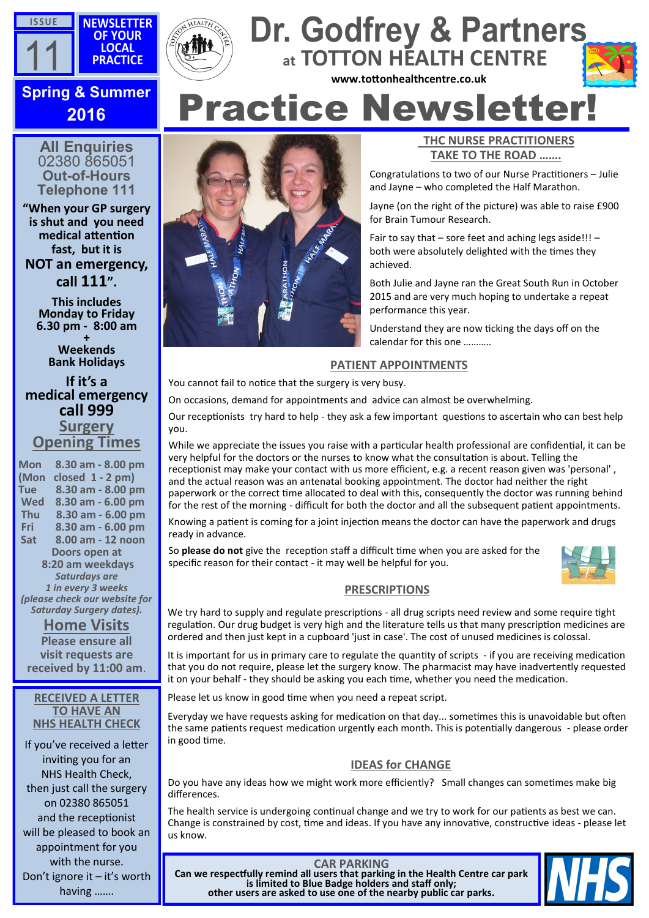



# Practice Newsletter! **Spring & Summer at TOTTON HEALTH CENTRE www.tottonhealthcentre.co.uk**



# **2016**

**All Enquiries** 02380 865051 **Out-of-Hours Telephone 111**

**"When your GP surgery is shut and you need medical attention fast, but it is NOT an emergency, call 111".**

> **This includes Monday to Friday 6.30 pm - 8:00 am**

**+ Weekends Bank Holidays** 

**If it's a medical emergency call 999 Surgery Opening Times**

**Mon 8.30 am - 8.00 pm (Mon closed 1 - 2 pm) Tue 8.30 am - 8.00 pm Wed 8.30 am - 6.00 pm Thu 8.30 am - 6.00 pm Fri 8.30 am - 6.00 pm Sat 8.00 am - 12 noon Doors open at 8:20 am weekdays** *Saturdays are 1 in every 3 weeks (please check our website for Saturday Surgery dates).*

**Home Visits Please ensure all visit requests are received by 11:00 am**.

#### **RECEIVED A LETTER TO HAVE AN NHS HEALTH CHECK**

If you've received a letter inviting you for an NHS Health Check, then just call the surgery on 02380 865051 and the receptionist will be pleased to book an appointment for you with the nurse. Don't ignore it – it's worth having …….



### **THC NURSE PRACTITIONERS TAKE TO THE ROAD …….**

Congratulations to two of our Nurse Practitioners – Julie and Jayne – who completed the Half Marathon.

Jayne (on the right of the picture) was able to raise £900 for Brain Tumour Research.

Fair to say that  $-$  sore feet and aching legs aside!!!  $$ both were absolutely delighted with the times they achieved.

Both Julie and Jayne ran the Great South Run in October 2015 and are very much hoping to undertake a repeat performance this year.

Understand they are now ticking the days off on the calendar for this one ………..

## **PATIENT APPOINTMENTS**

You cannot fail to notice that the surgery is very busy.

On occasions, demand for appointments and advice can almost be overwhelming.

Our receptionists try hard to help - they ask a few important questions to ascertain who can best help you.

While we appreciate the issues you raise with a particular health professional are confidential, it can be very helpful for the doctors or the nurses to know what the consultation is about. Telling the receptionist may make your contact with us more efficient, e.g. a recent reason given was 'personal' , and the actual reason was an antenatal booking appointment. The doctor had neither the right paperwork or the correct time allocated to deal with this, consequently the doctor was running behind for the rest of the morning - difficult for both the doctor and all the subsequent patient appointments.

Knowing a patient is coming for a joint injection means the doctor can have the paperwork and drugs ready in advance.

So **please do not** give the reception staff a difficult time when you are asked for the specific reason for their contact - it may well be helpful for you.



# **PRESCRIPTIONS**

We try hard to supply and regulate prescriptions - all drug scripts need review and some require tight regulation. Our drug budget is very high and the literature tells us that many prescription medicines are ordered and then just kept in a cupboard 'just in case'. The cost of unused medicines is colossal.

It is important for us in primary care to regulate the quantity of scripts - if you are receiving medication that you do not require, please let the surgery know. The pharmacist may have inadvertently requested it on your behalf - they should be asking you each time, whether you need the medication.

Please let us know in good time when you need a repeat script.

Everyday we have requests asking for medication on that day... sometimes this is unavoidable but often the same patients request medication urgently each month. This is potentially dangerous - please order in good time.

# **IDEAS for CHANGE**

Do you have any ideas how we might work more efficiently? Small changes can sometimes make big differences.

The health service is undergoing continual change and we try to work for our patients as best we can. Change is constrained by cost, time and ideas. If you have any innovative, constructive ideas - please let us know.

**CAR PARKING Can we respectfully remind all users that parking in the Health Centre car park is limited to Blue Badge holders and staff only; other users are asked to use one of the nearby public car parks.**